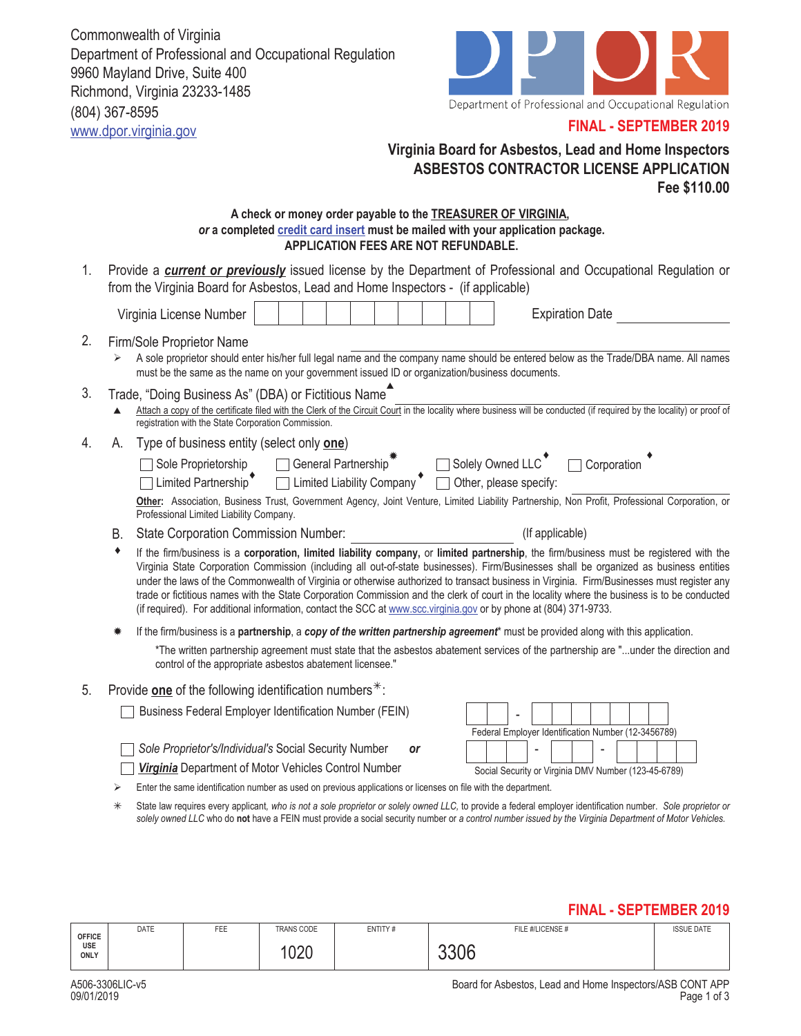Commonwealth of Virginia Department of Professional and Occupational Regulation 9960 Mayland Drive, Suite 400 Richmond, Virginia 23233-1485 (804) 367-8595 www.dpor.virginia.gov



## **FINAL - SEPTEMBER 2019**

# **Virginia Board for Asbestos, Lead and Home Inspectors ASBESTOS CONTRACTOR LICENSE APPLICATION Fee \$110.00**

#### **A check or money order payable to the TREASURER OF VIRGINIA,**  *or* **a completed credit card insert must be mailed with your application package. APPLICATION FEES ARE NOT REFUNDABLE.**

1. Provide a **current or previously** issued license by the Department of Professional and Occupational Regulation or from the Virginia Board for Asbestos, Lead and Home Inspectors - (if applicable)

|    |                                                                                                                                                                                                | Virginia License Number                                                                                                                                                                                                                                                                                                                                                                                                                                                                                                                                                                                                                                                                              |  |  |  |  |  |  |  |  |  | <b>Expiration Date</b>                                                                                                            |
|----|------------------------------------------------------------------------------------------------------------------------------------------------------------------------------------------------|------------------------------------------------------------------------------------------------------------------------------------------------------------------------------------------------------------------------------------------------------------------------------------------------------------------------------------------------------------------------------------------------------------------------------------------------------------------------------------------------------------------------------------------------------------------------------------------------------------------------------------------------------------------------------------------------------|--|--|--|--|--|--|--|--|--|-----------------------------------------------------------------------------------------------------------------------------------|
| 2. | ⋗                                                                                                                                                                                              | Firm/Sole Proprietor Name<br>A sole proprietor should enter his/her full legal name and the company name should be entered below as the Trade/DBA name. All names<br>must be the same as the name on your government issued ID or organization/business documents.                                                                                                                                                                                                                                                                                                                                                                                                                                   |  |  |  |  |  |  |  |  |  |                                                                                                                                   |
| 3. |                                                                                                                                                                                                | Trade, "Doing Business As" (DBA) or Fictitious Name <sup>4</sup><br>Attach a copy of the certificate filed with the Clerk of the Circuit Court in the locality where business will be conducted (if required by the locality) or proof of<br>registration with the State Corporation Commission.                                                                                                                                                                                                                                                                                                                                                                                                     |  |  |  |  |  |  |  |  |  |                                                                                                                                   |
| 4. | А.                                                                                                                                                                                             | Type of business entity (select only one)<br>◯ Sole Proprietorship ← ◯ General Partnership ← ◯ Solely Owned LLC ← ◯ Corporation<br>◯ Limited Partnership ← ◯ Limited Liability Company ← ◯ Other, please specify:<br>Other: Association, Business Trust, Government Agency, Joint Venture, Limited Liability Partnership, Non Profit, Professional Corporation, or<br>Professional Limited Liability Company.                                                                                                                                                                                                                                                                                        |  |  |  |  |  |  |  |  |  |                                                                                                                                   |
|    | В.                                                                                                                                                                                             | <b>State Corporation Commission Number:</b>                                                                                                                                                                                                                                                                                                                                                                                                                                                                                                                                                                                                                                                          |  |  |  |  |  |  |  |  |  | (If applicable)                                                                                                                   |
|    |                                                                                                                                                                                                | If the firm/business is a corporation, limited liability company, or limited partnership, the firm/business must be registered with the<br>Virginia State Corporation Commission (including all out-of-state businesses). Firm/Businesses shall be organized as business entities<br>under the laws of the Commonwealth of Virginia or otherwise authorized to transact business in Virginia. Firm/Businesses must register any<br>trade or fictitious names with the State Corporation Commission and the clerk of court in the locality where the business is to be conducted<br>(if required). For additional information, contact the SCC at www.scc.virginia.gov or by phone at (804) 371-9733. |  |  |  |  |  |  |  |  |  |                                                                                                                                   |
|    |                                                                                                                                                                                                |                                                                                                                                                                                                                                                                                                                                                                                                                                                                                                                                                                                                                                                                                                      |  |  |  |  |  |  |  |  |  | If the firm/business is a partnership, a copy of the written partnership agreement* must be provided along with this application. |
|    | *The written partnership agreement must state that the asbestos abatement services of the partnership are "under the direction and<br>control of the appropriate asbestos abatement licensee." |                                                                                                                                                                                                                                                                                                                                                                                                                                                                                                                                                                                                                                                                                                      |  |  |  |  |  |  |  |  |  |                                                                                                                                   |

5. Provide **one** of the following identification numbers<sup>\*</sup>:

Business Federal Employer Identification Number (FEIN)

*Sole Proprietor's/Individual's* Social Security Number *or*

| Federal Employer Identification Number (12-3456789)  |  |  |  |  |  |  |  |  |  |  |
|------------------------------------------------------|--|--|--|--|--|--|--|--|--|--|
|                                                      |  |  |  |  |  |  |  |  |  |  |
| Social Security or Virginia DMV Number (123-45-6789) |  |  |  |  |  |  |  |  |  |  |

*Virginia* Department of Motor Vehicles Control Number

Enter the same identification number as used on previous applications or licenses on file with the department.

 State law requires every applicant*, who is not a sole proprietor or solely owned LLC,* to provide a federal employer identification number. *Sole proprietor or solely owned LLC* who do **not** have a FEIN must provide a social security number or *a control number issued by the Virginia Department of Motor Vehicles.*

## **FINAL - SEPTEMBER 2019**

| <b>OFFICE</b><br>USE<br>ONLY | DATE | <b>FEE</b> | TRANS CODE | ENTITY# | FILE #/LICENSE # | <b>ISSUE DATE</b> |  |
|------------------------------|------|------------|------------|---------|------------------|-------------------|--|
|                              |      |            | റററ<br>∪∠∪ |         | კკ∪ხ             |                   |  |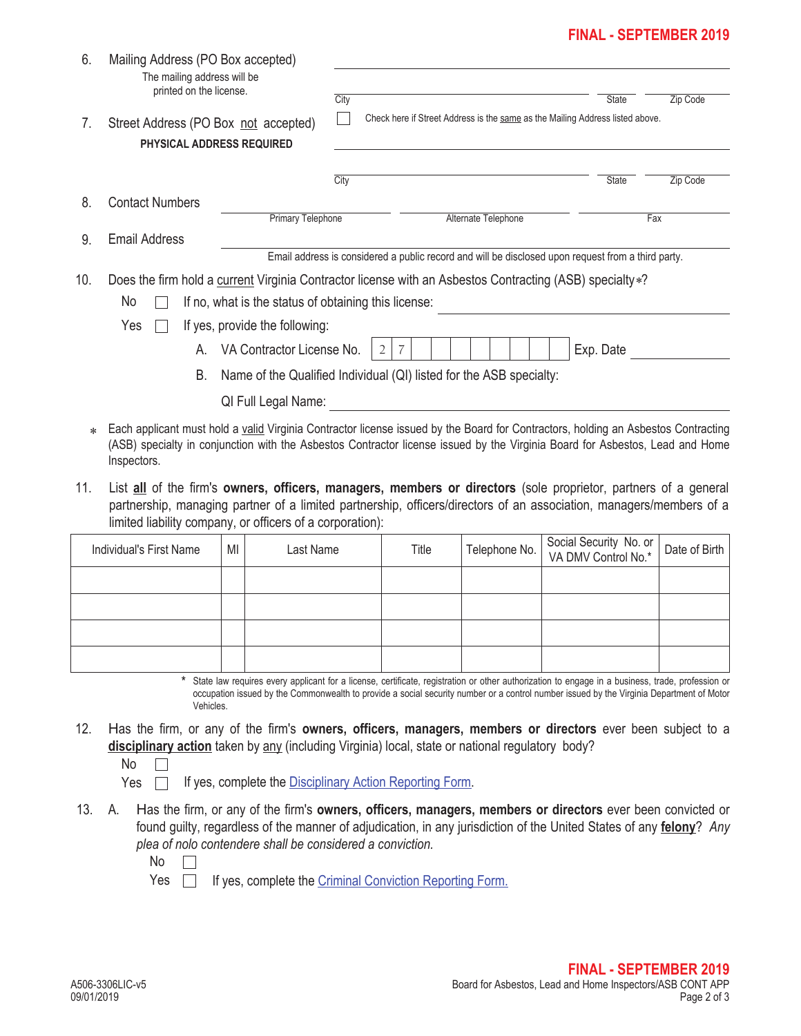# **FINAL - SEPTEMBER 2019**

| 6.  | Mailing Address (PO Box accepted)<br>The mailing address will be<br>printed on the license.<br>Street Address (PO Box not accepted)<br>PHYSICAL ADDRESS REQUIRED                                                                                                                                                                                                                |                                                                     |      |                                                                                                            |                     |                                                                                                                                                                                                                                                                                              |               |  |  |
|-----|---------------------------------------------------------------------------------------------------------------------------------------------------------------------------------------------------------------------------------------------------------------------------------------------------------------------------------------------------------------------------------|---------------------------------------------------------------------|------|------------------------------------------------------------------------------------------------------------|---------------------|----------------------------------------------------------------------------------------------------------------------------------------------------------------------------------------------------------------------------------------------------------------------------------------------|---------------|--|--|
| 7.  |                                                                                                                                                                                                                                                                                                                                                                                 |                                                                     |      | City<br>Zip Code<br>State<br>Check here if Street Address is the same as the Mailing Address listed above. |                     |                                                                                                                                                                                                                                                                                              |               |  |  |
|     |                                                                                                                                                                                                                                                                                                                                                                                 |                                                                     | City |                                                                                                            |                     | State                                                                                                                                                                                                                                                                                        | Zip Code      |  |  |
| 8.  | <b>Contact Numbers</b>                                                                                                                                                                                                                                                                                                                                                          | <b>Primary Telephone</b>                                            |      |                                                                                                            | Alternate Telephone | Fax                                                                                                                                                                                                                                                                                          |               |  |  |
| 9.  | <b>Email Address</b>                                                                                                                                                                                                                                                                                                                                                            |                                                                     |      |                                                                                                            |                     |                                                                                                                                                                                                                                                                                              |               |  |  |
| 10. | Email address is considered a public record and will be disclosed upon request from a third party.<br>Does the firm hold a current Virginia Contractor license with an Asbestos Contracting (ASB) specialty *?<br>No<br>If no, what is the status of obtaining this license:<br>Yes<br>If yes, provide the following:<br>VA Contractor License No.<br>Exp. Date<br>2<br>7<br>А. |                                                                     |      |                                                                                                            |                     |                                                                                                                                                                                                                                                                                              |               |  |  |
|     | В.                                                                                                                                                                                                                                                                                                                                                                              | Name of the Qualified Individual (QI) listed for the ASB specialty: |      |                                                                                                            |                     |                                                                                                                                                                                                                                                                                              |               |  |  |
|     |                                                                                                                                                                                                                                                                                                                                                                                 | QI Full Legal Name:                                                 |      |                                                                                                            |                     |                                                                                                                                                                                                                                                                                              |               |  |  |
|     | Each applicant must hold a valid Virginia Contractor license issued by the Board for Contractors, holding an Asbestos Contracting<br>(ASB) specialty in conjunction with the Asbestos Contractor license issued by the Virginia Board for Asbestos, Lead and Home<br>Inspectors.                                                                                                |                                                                     |      |                                                                                                            |                     |                                                                                                                                                                                                                                                                                              |               |  |  |
| 11. | limited liability company, or officers of a corporation):                                                                                                                                                                                                                                                                                                                       |                                                                     |      |                                                                                                            |                     | List all of the firm's owners, officers, managers, members or directors (sole proprietor, partners of a general<br>partnership, managing partner of a limited partnership, officers/directors of an association, managers/members of a                                                       |               |  |  |
|     | Individual's First Name                                                                                                                                                                                                                                                                                                                                                         | Last Name<br>MI                                                     |      | Title                                                                                                      | Telephone No.       | Social Security No. or<br>VA DMV Control No.*                                                                                                                                                                                                                                                | Date of Birth |  |  |
|     |                                                                                                                                                                                                                                                                                                                                                                                 |                                                                     |      |                                                                                                            |                     |                                                                                                                                                                                                                                                                                              |               |  |  |
|     |                                                                                                                                                                                                                                                                                                                                                                                 |                                                                     |      |                                                                                                            |                     |                                                                                                                                                                                                                                                                                              |               |  |  |
|     |                                                                                                                                                                                                                                                                                                                                                                                 |                                                                     |      |                                                                                                            |                     |                                                                                                                                                                                                                                                                                              |               |  |  |
|     | *<br>Vehicles.                                                                                                                                                                                                                                                                                                                                                                  |                                                                     |      |                                                                                                            |                     | State law requires every applicant for a license, certificate, registration or other authorization to engage in a business, trade, profession or<br>occupation issued by the Commonwealth to provide a social security number or a control number issued by the Virginia Department of Motor |               |  |  |
| 12. | Has the firm, or any of the firm's owners, officers, managers, members or directors ever been subject to a<br>disciplinary action taken by any (including Virginia) local, state or national regulatory body?<br>No<br>Yes                                                                                                                                                      | If yes, complete the Disciplinary Action Reporting Form.            |      |                                                                                                            |                     |                                                                                                                                                                                                                                                                                              |               |  |  |
| 13. | Has the firm, or any of the firm's owners, officers, managers, members or directors ever been convicted or<br>А.<br>found guilty, regardless of the manner of adjudication, in any jurisdiction of the United States of any felony? Any<br>plea of nolo contendere shall be considered a conviction.<br>No                                                                      |                                                                     |      |                                                                                                            |                     |                                                                                                                                                                                                                                                                                              |               |  |  |
|     | Yes                                                                                                                                                                                                                                                                                                                                                                             | If yes, complete the Criminal Conviction Reporting Form.            |      |                                                                                                            |                     |                                                                                                                                                                                                                                                                                              |               |  |  |